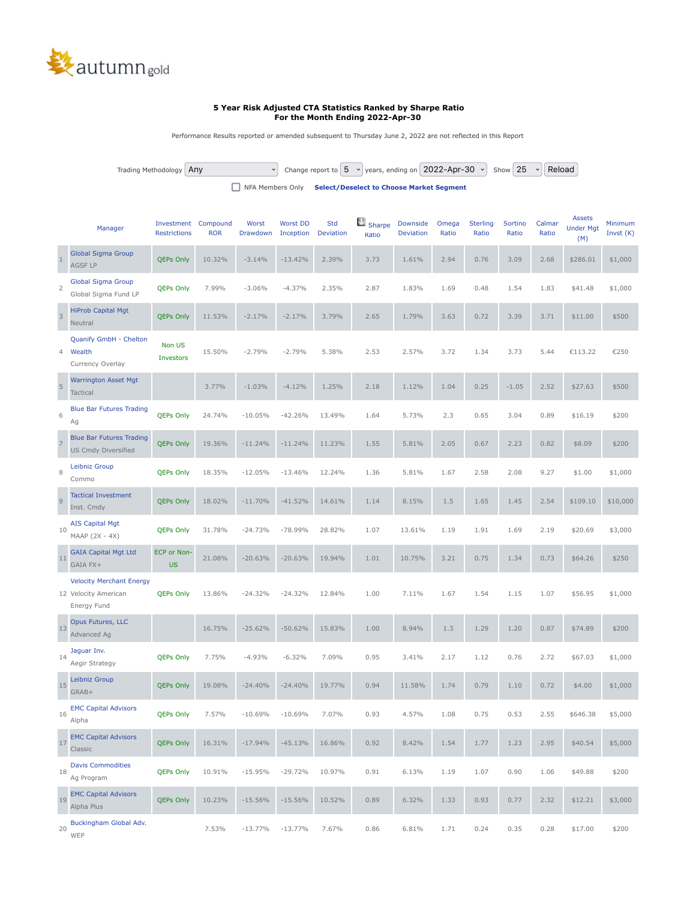

## **5 Year Risk Adjusted CTA Statistics Ranked by Sharpe Ratio For the Month Ending 2022-Apr-30**

Performance Results reported or amended subsequent to Thursday June 2, 2022 are not reflected in this Report

Trading Methodology  $\boxed{\text{Any}}$  Change report to  $\boxed{5 \rightarrow}$  years, ending on  $\boxed{2022-\text{Apr}-30 \rightarrow}$  Show  $\boxed{25 \rightarrow}$  Reload

NFA Members Only **[Select/Deselect to Choose Market Segment](https://www.autumngold.com/SubLeaf/cta_stat_report_print.php?strategy=Any&for=5&end=2022-Apr-30&limit=25&submit=&sort_by=6&desc=1#)**

|                | Manager                                                                | Investment<br><b>Restrictions</b> | Compound<br><b>ROR</b> | Worst<br>Drawdown | <b>Worst DD</b><br>Inception | <b>Std</b><br><b>Deviation</b> | Sharpe<br>Ratio | <b>Downside</b><br><b>Deviation</b> | Omega<br>Ratio | <b>Sterling</b><br>Ratio | Sortino<br>Ratio | Calmar<br>Ratio | <b>Assets</b><br><b>Under Mgt</b><br>(M) | Minimum<br>Invst (K) |
|----------------|------------------------------------------------------------------------|-----------------------------------|------------------------|-------------------|------------------------------|--------------------------------|-----------------|-------------------------------------|----------------|--------------------------|------------------|-----------------|------------------------------------------|----------------------|
| $\mathbf{1}$   | <b>Global Sigma Group</b><br><b>AGSF LP</b>                            | <b>QEPs Only</b>                  | 10.32%                 | $-3.14%$          | $-13.42%$                    | 2.39%                          | 3.73            | 1.61%                               | 2.94           | 0.76                     | 3.09             | 2.68            | \$286.01                                 | \$1,000              |
| $\overline{2}$ | <b>Global Sigma Group</b><br>Global Sigma Fund LP                      | <b>QEPs Only</b>                  | 7.99%                  | $-3.06%$          | $-4.37%$                     | 2.35%                          | 2.87            | 1.83%                               | 1.69           | 0.48                     | 1.54             | 1.83            | \$41.48                                  | \$1,000              |
| $\overline{3}$ | <b>HiProb Capital Mgt</b><br>Neutral                                   | <b>QEPs Only</b>                  | 11.53%                 | $-2.17%$          | $-2.17%$                     | 3.79%                          | 2.65            | 1.79%                               | 3.63           | 0.72                     | 3.39             | 3.71            | \$11.00                                  | \$500                |
| 4              | Quanify GmbH - Chelton<br>Wealth<br>Currency Overlay                   | Non US<br>Investors               | 15.50%                 | $-2.79%$          | $-2.79%$                     | 5.38%                          | 2.53            | 2.57%                               | 3.72           | 1.34                     | 3.73             | 5.44            | €113.22                                  | €250                 |
| 5              | <b>Warrington Asset Mgt</b><br>Tactical                                |                                   | 3.77%                  | $-1.03%$          | $-4.12%$                     | 1.25%                          | 2.18            | 1.12%                               | 1.04           | 0.25                     | $-1.05$          | 2.52            | \$27.63                                  | \$500                |
| 6              | <b>Blue Bar Futures Trading</b><br>Ag                                  | <b>QEPs Only</b>                  | 24.74%                 | $-10.05%$         | $-42.26%$                    | 13.49%                         | 1.64            | 5.73%                               | 2.3            | 0.65                     | 3.04             | 0.89            | \$16.19                                  | \$200                |
| $\overline{7}$ | <b>Blue Bar Futures Trading</b><br><b>US Cmdy Diversified</b>          | <b>QEPs Only</b>                  | 19.36%                 | $-11.24%$         | $-11.24%$                    | 11.23%                         | 1.55            | 5.81%                               | 2.05           | 0.67                     | 2.23             | 0.82            | \$8.09                                   | \$200                |
| 8              | Leibniz Group<br>Commo                                                 | <b>QEPs Only</b>                  | 18.35%                 | $-12.05%$         | $-13.46%$                    | 12.24%                         | 1.36            | 5.81%                               | 1.67           | 2.58                     | 2.08             | 9.27            | \$1.00                                   | \$1,000              |
| $\overline{9}$ | <b>Tactical Investment</b><br>Inst. Cmdy                               | <b>QEPs Only</b>                  | 18.02%                 | $-11.70%$         | $-41.52%$                    | 14.61%                         | 1.14            | 8.15%                               | 1.5            | 1.65                     | 1.45             | 2.54            | \$109.10                                 | \$10,000             |
| 10             | <b>AIS Capital Mgt</b><br>MAAP (2X - 4X)                               | <b>QEPs Only</b>                  | 31.78%                 | $-24.73%$         | $-78.99%$                    | 28.82%                         | 1.07            | 13.61%                              | 1.19           | 1.91                     | 1.69             | 2.19            | \$20.69                                  | \$3,000              |
| 11             | <b>GAIA Capital Mgt Ltd</b><br>GAIA FX+                                | ECP or Non-<br><b>US</b>          | 21.08%                 | $-20.63%$         | $-20.63%$                    | 19.94%                         | 1.01            | 10.75%                              | 3.21           | 0.75                     | 1.34             | 0.73            | \$64.26                                  | \$250                |
|                | <b>Velocity Merchant Energy</b><br>12 Velocity American<br>Energy Fund | <b>QEPs Only</b>                  | 13.86%                 | $-24.32%$         | $-24.32%$                    | 12.84%                         | 1.00            | 7.11%                               | 1.67           | 1.54                     | 1.15             | 1.07            | \$56.95                                  | \$1,000              |
| 13             | Opus Futures, LLC<br>Advanced Ag                                       |                                   | 16.75%                 | $-25.62%$         | $-50.62%$                    | 15.83%                         | 1.00            | 8.94%                               | 1.3            | 1.29                     | 1.20             | 0.87            | \$74.89                                  | \$200                |
| 14             | Jaguar Inv.<br>Aegir Strategy                                          | <b>QEPs Only</b>                  | 7.75%                  | $-4.93%$          | $-6.32%$                     | 7.09%                          | 0.95            | 3.41%                               | 2.17           | 1.12                     | 0.76             | 2.72            | \$67.03                                  | \$1,000              |
| 15             | Leibniz Group<br>GRAB+                                                 | <b>QEPs Only</b>                  | 19.08%                 | $-24.40%$         | $-24.40%$                    | 19.77%                         | 0.94            | 11.58%                              | 1.74           | 0.79                     | 1.10             | 0.72            | \$4.00                                   | \$1,000              |
| 16             | <b>EMC Capital Advisors</b><br>Alpha                                   | <b>QEPs Only</b>                  | 7.57%                  | $-10.69%$         | $-10.69%$                    | 7.07%                          | 0.93            | 4.57%                               | 1.08           | 0.75                     | 0.53             | 2.55            | \$646.38                                 | \$5,000              |
| 17             | <b>EMC Capital Advisors</b><br>Classic                                 | <b>QEPs Only</b>                  | 16.31%                 | $-17.94%$         | $-45.13%$                    | 16.86%                         | 0.92            | 8.42%                               | 1.54           | 1.77                     | 1.23             | 2.95            | \$40.54                                  | \$5,000              |
| 18             | <b>Davis Commodities</b><br>Ag Program                                 | <b>QEPs Only</b>                  | 10.91%                 | $-15.95%$         | $-29.72%$                    | 10.97%                         | 0.91            | 6.13%                               | 1.19           | 1.07                     | 0.90             | 1.06            | \$49.88                                  | \$200                |
| 19             | <b>EMC Capital Advisors</b><br>Alpha Plus                              | <b>QEPs Only</b>                  | 10.23%                 | $-15.56%$         | $-15.56%$                    | 10.52%                         | 0.89            | 6.32%                               | 1.33           | 0.93                     | 0.77             | 2.32            | \$12.21                                  | \$3,000              |
| 20             | Buckingham Global Adv.<br>WEP                                          |                                   | 7.53%                  | $-13.77%$         | $-13.77%$                    | 7.67%                          | 0.86            | 6.81%                               | 1.71           | 0.24                     | 0.35             | 0.28            | \$17.00                                  | \$200                |